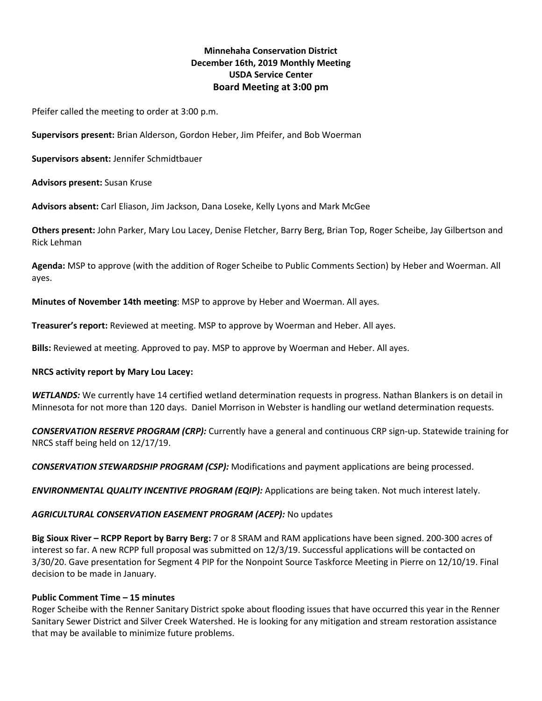# **Minnehaha Conservation District December 16th, 2019 Monthly Meeting USDA Service Center Board Meeting at 3:00 pm**

Pfeifer called the meeting to order at 3:00 p.m.

**Supervisors present:** Brian Alderson, Gordon Heber, Jim Pfeifer, and Bob Woerman

**Supervisors absent:** Jennifer Schmidtbauer

**Advisors present:** Susan Kruse

**Advisors absent:** Carl Eliason, Jim Jackson, Dana Loseke, Kelly Lyons and Mark McGee

**Others present:** John Parker, Mary Lou Lacey, Denise Fletcher, Barry Berg, Brian Top, Roger Scheibe, Jay Gilbertson and Rick Lehman

**Agenda:** MSP to approve (with the addition of Roger Scheibe to Public Comments Section) by Heber and Woerman. All ayes.

**Minutes of November 14th meeting**: MSP to approve by Heber and Woerman. All ayes.

**Treasurer's report:** Reviewed at meeting. MSP to approve by Woerman and Heber. All ayes.

**Bills:** Reviewed at meeting. Approved to pay. MSP to approve by Woerman and Heber. All ayes.

#### **NRCS activity report by Mary Lou Lacey:**

*WETLANDS:* We currently have 14 certified wetland determination requests in progress. Nathan Blankers is on detail in Minnesota for not more than 120 days. Daniel Morrison in Webster is handling our wetland determination requests.

*CONSERVATION RESERVE PROGRAM (CRP):* Currently have a general and continuous CRP sign-up. Statewide training for NRCS staff being held on 12/17/19.

*CONSERVATION STEWARDSHIP PROGRAM (CSP):* Modifications and payment applications are being processed.

*ENVIRONMENTAL QUALITY INCENTIVE PROGRAM (EQIP):* Applications are being taken. Not much interest lately.

#### *AGRICULTURAL CONSERVATION EASEMENT PROGRAM (ACEP):* No updates

**Big Sioux River – RCPP Report by Barry Berg:** 7 or 8 SRAM and RAM applications have been signed. 200-300 acres of interest so far. A new RCPP full proposal was submitted on 12/3/19. Successful applications will be contacted on 3/30/20. Gave presentation for Segment 4 PIP for the Nonpoint Source Taskforce Meeting in Pierre on 12/10/19. Final decision to be made in January.

#### **Public Comment Time – 15 minutes**

Roger Scheibe with the Renner Sanitary District spoke about flooding issues that have occurred this year in the Renner Sanitary Sewer District and Silver Creek Watershed. He is looking for any mitigation and stream restoration assistance that may be available to minimize future problems.